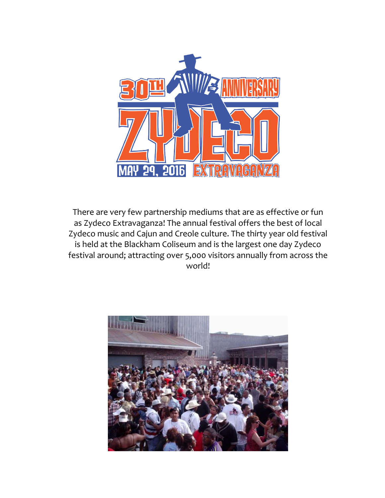

There are very few partnership mediums that are as effective or fun as Zydeco Extravaganza! The annual festival offers the best of local Zydeco music and Cajun and Creole culture. The thirty year old festival is held at the Blackham Coliseum and is the largest one day Zydeco festival around; attracting over 5,000 visitors annually from across the world!

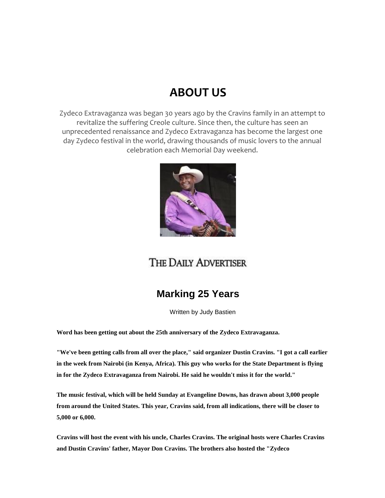# **ABOUT US**

Zydeco Extravaganza was began 30 years ago by the Cravins family in an attempt to revitalize the suffering Creole culture. Since then, the culture has seen an unprecedented renaissance and Zydeco Extravaganza has become the largest one day Zydeco festival in the world, drawing thousands of music lovers to the annual celebration each Memorial Day weekend.



## THE DAILY ADVERTISER

### **Marking 25 Years**

Written by Judy Bastien

**Word has been getting out about the 25th anniversary of the Zydeco Extravaganza.**

**"We've been getting calls from all over the place," said organizer Dustin Cravins. "I got a call earlier in the week from Nairobi (in Kenya, Africa). This guy who works for the State Department is flying in for the Zydeco Extravaganza from Nairobi. He said he wouldn't miss it for the world."**

**The music festival, which will be held Sunday at Evangeline Downs, has drawn about 3,000 people from around the United States. This year, Cravins said, from all indications, there will be closer to 5,000 or 6,000.**

**Cravins will host the event with his uncle, Charles Cravins. The original hosts were Charles Cravins and Dustin Cravins' father, Mayor Don Cravins. The brothers also hosted the "Zydeco**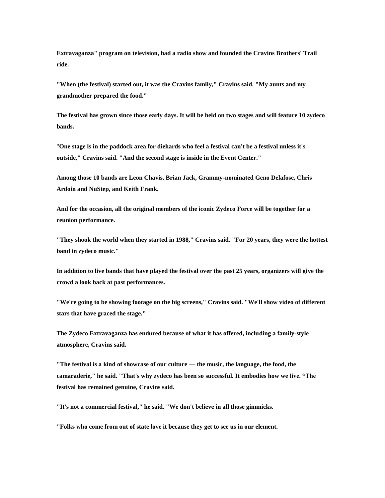**Extravaganza" program on television, had a radio show and founded the Cravins Brothers' Trail ride.**

**"When (the festival) started out, it was the Cravins family," Cravins said. "My aunts and my grandmother prepared the food."**

**The festival has grown since those early days. It will be held on two stages and will feature 10 zydeco bands.**

"**One stage is in the paddock area for diehards who feel a festival can't be a festival unless it's outside," Cravins said. "And the second stage is inside in the Event Center."**

**Among those 10 bands are Leon Chavis, Brian Jack, Grammy-nominated Geno Delafose, Chris Ardoin and NuStep, and Keith Frank.**

**And for the occasion, all the original members of the iconic Zydeco Force will be together for a reunion performance.**

**"They shook the world when they started in 1988," Cravins said. "For 20 years, they were the hottest band in zydeco music."**

**In addition to live bands that have played the festival over the past 25 years, organizers will give the crowd a look back at past performances.**

**"We're going to be showing footage on the big screens," Cravins said. "We'll show video of different stars that have graced the stage."**

**The Zydeco Extravaganza has endured because of what it has offered, including a family-style atmosphere, Cravins said.**

**"The festival is a kind of showcase of our culture — the music, the language, the food, the camaraderie," he said. "That's why zydeco has been so successful. It embodies how we live. "The festival has remained genuine, Cravins said.**

**"It's not a commercial festival," he said. "We don't believe in all those gimmicks.**

**"Folks who come from out of state love it because they get to see us in our element.**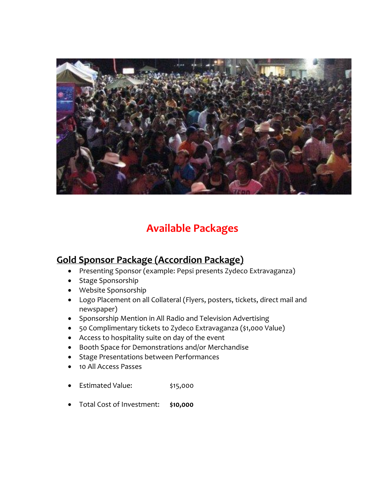

# **Available Packages**

### **Gold Sponsor Package (Accordion Package)**

- Presenting Sponsor (example: Pepsi presents Zydeco Extravaganza)
- Stage Sponsorship
- Website Sponsorship
- Logo Placement on all Collateral (Flyers, posters, tickets, direct mail and newspaper)
- Sponsorship Mention in All Radio and Television Advertising
- 50 Complimentary tickets to Zydeco Extravaganza (\$1,000 Value)
- Access to hospitality suite on day of the event
- Booth Space for Demonstrations and/or Merchandise
- Stage Presentations between Performances
- 10 All Access Passes
- Estimated Value: \$15,000
- Total Cost of Investment: **\$10,000**